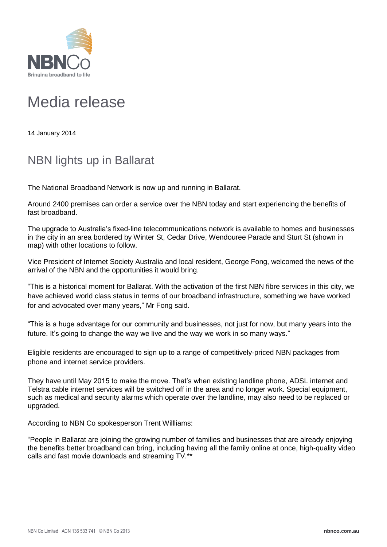

## Media release

14 January 2014

## NBN lights up in Ballarat

The National Broadband Network is now up and running in Ballarat.

Around 2400 premises can order a service over the NBN today and start experiencing the benefits of fast broadband.

The upgrade to Australia's fixed-line telecommunications network is available to homes and businesses in the city in an area bordered by Winter St, Cedar Drive, Wendouree Parade and Sturt St (shown in map) with other locations to follow.

Vice President of Internet Society Australia and local resident, George Fong, welcomed the news of the arrival of the NBN and the opportunities it would bring.

"This is a historical moment for Ballarat. With the activation of the first NBN fibre services in this city, we have achieved world class status in terms of our broadband infrastructure, something we have worked for and advocated over many years," Mr Fong said.

"This is a huge advantage for our community and businesses, not just for now, but many years into the future. It's going to change the way we live and the way we work in so many ways."

Eligible residents are encouraged to sign up to a range of competitively-priced NBN packages from phone and internet service providers.

They have until May 2015 to make the move. That's when existing landline phone, ADSL internet and Telstra cable internet services will be switched off in the area and no longer work. Special equipment, such as medical and security alarms which operate over the landline, may also need to be replaced or upgraded.

According to NBN Co spokesperson Trent Willliams:

"People in Ballarat are joining the growing number of families and businesses that are already enjoying the benefits better broadband can bring, including having all the family online at once, high-quality video calls and fast movie downloads and streaming TV.\*\*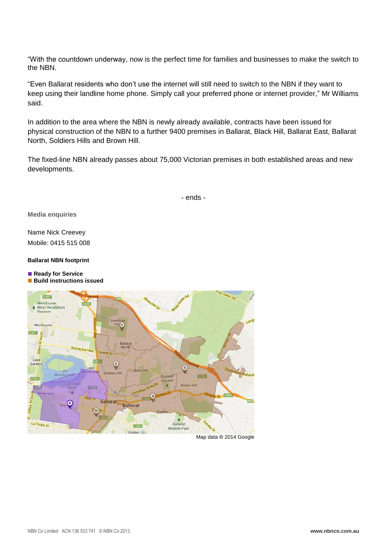"With the countdown underway, now is the perfect time for families and businesses to make the switch to the NBN.

"Even Ballarat residents who don't use the internet will still need to switch to the NBN if they want to keep using their landline home phone. Simply call your preferred phone or internet provider," Mr Williams said.

In addition to the area where the NBN is newly already available, contracts have been issued for physical construction of the NBN to a further 9400 premises in Ballarat, Black Hill, Ballarat East, Ballarat North, Soldiers Hills and Brown Hill.

The fixed-line NBN already passes about 75,000 Victorian premises in both established areas and new developments.

- ends -

**Media enquiries**

Name Nick Creevey Mobile: 0415 515 008

**Ballarat NBN footprint**

■ Ready for Service **Build instructions issued** 



Map data **©** 2014 Google